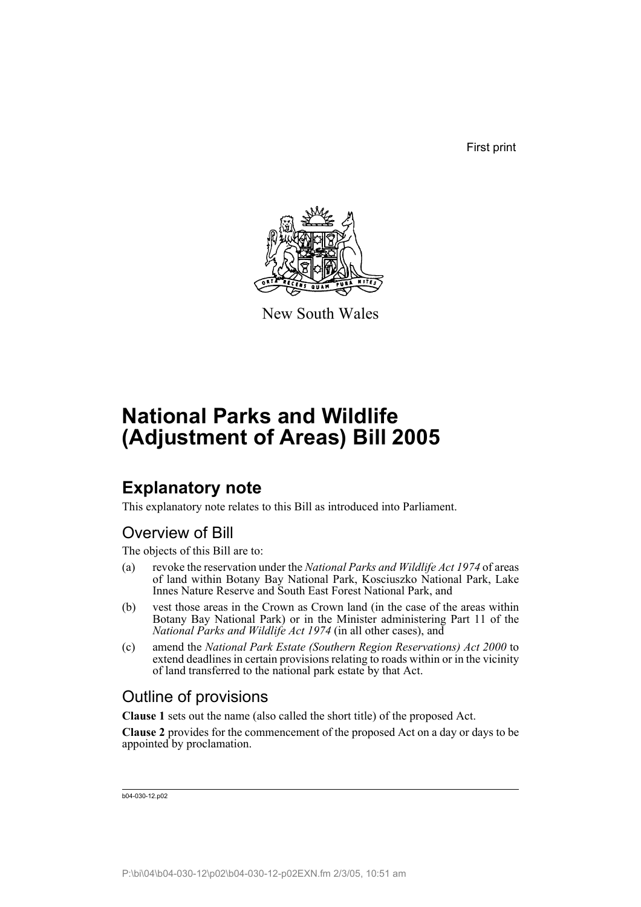First print



New South Wales

# **National Parks and Wildlife (Adjustment of Areas) Bill 2005**

## **Explanatory note**

This explanatory note relates to this Bill as introduced into Parliament.

## Overview of Bill

The objects of this Bill are to:

- (a) revoke the reservation under the *National Parks and Wildlife Act 1974* of areas of land within Botany Bay National Park, Kosciuszko National Park, Lake Innes Nature Reserve and South East Forest National Park, and
- (b) vest those areas in the Crown as Crown land (in the case of the areas within Botany Bay National Park) or in the Minister administering Part 11 of the *National Parks and Wildlife Act 1974* (in all other cases), and
- (c) amend the *National Park Estate (Southern Region Reservations) Act 2000* to extend deadlines in certain provisions relating to roads within or in the vicinity of land transferred to the national park estate by that Act.

## Outline of provisions

**Clause 1** sets out the name (also called the short title) of the proposed Act.

**Clause 2** provides for the commencement of the proposed Act on a day or days to be appointed by proclamation.

b04-030-12.p02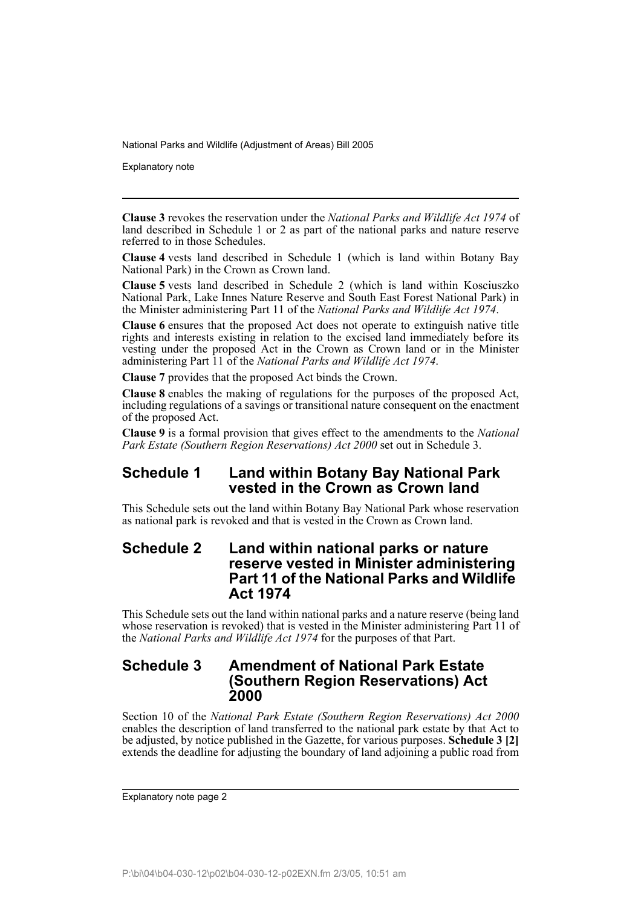Explanatory note

**Clause 3** revokes the reservation under the *National Parks and Wildlife Act 1974* of land described in Schedule 1 or 2 as part of the national parks and nature reserve referred to in those Schedules.

**Clause 4** vests land described in Schedule 1 (which is land within Botany Bay National Park) in the Crown as Crown land.

**Clause 5** vests land described in Schedule 2 (which is land within Kosciuszko National Park, Lake Innes Nature Reserve and South East Forest National Park) in the Minister administering Part 11 of the *National Parks and Wildlife Act 1974*.

**Clause 6** ensures that the proposed Act does not operate to extinguish native title rights and interests existing in relation to the excised land immediately before its vesting under the proposed Act in the Crown as Crown land or in the Minister administering Part 11 of the *National Parks and Wildlife Act 1974*.

**Clause 7** provides that the proposed Act binds the Crown.

**Clause 8** enables the making of regulations for the purposes of the proposed Act, including regulations of a savings or transitional nature consequent on the enactment of the proposed Act.

**Clause 9** is a formal provision that gives effect to the amendments to the *National Park Estate (Southern Region Reservations) Act 2000* set out in Schedule 3.

### **Schedule 1 Land within Botany Bay National Park vested in the Crown as Crown land**

This Schedule sets out the land within Botany Bay National Park whose reservation as national park is revoked and that is vested in the Crown as Crown land.

### **Schedule 2 Land within national parks or nature reserve vested in Minister administering Part 11 of the National Parks and Wildlife Act 1974**

This Schedule sets out the land within national parks and a nature reserve (being land whose reservation is revoked) that is vested in the Minister administering Part 11 of the *National Parks and Wildlife Act 1974* for the purposes of that Part.

### **Schedule 3 Amendment of National Park Estate (Southern Region Reservations) Act 2000**

Section 10 of the *National Park Estate (Southern Region Reservations) Act 2000* enables the description of land transferred to the national park estate by that Act to be adjusted, by notice published in the Gazette, for various purposes. **Schedule 3 [2]** extends the deadline for adjusting the boundary of land adjoining a public road from

Explanatory note page 2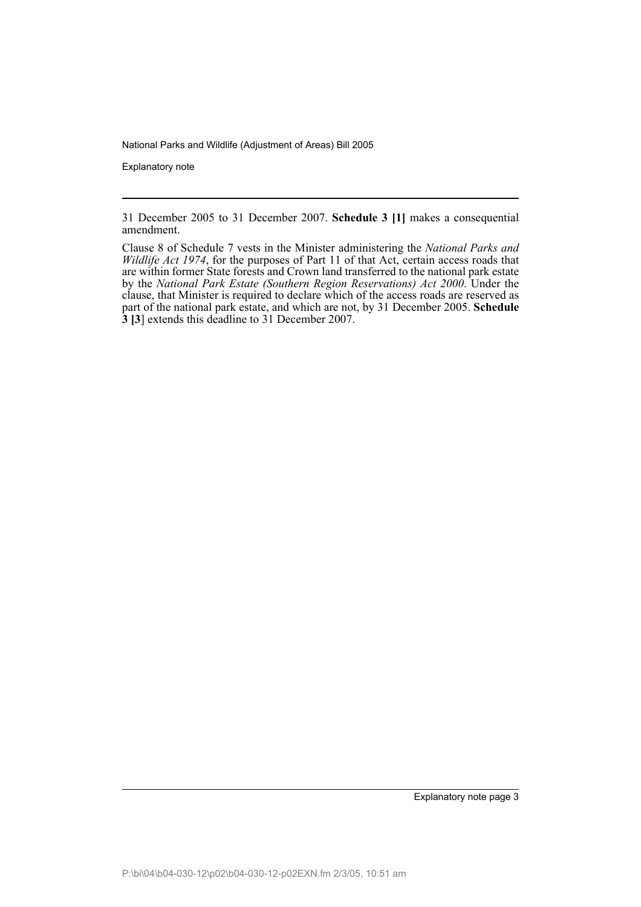Explanatory note

31 December 2005 to 31 December 2007. **Schedule 3 [1]** makes a consequential amendment.

Clause 8 of Schedule 7 vests in the Minister administering the *National Parks and Wildlife Act 1974*, for the purposes of Part 11 of that Act, certain access roads that are within former State forests and Crown land transferred to the national park estate by the *National Park Estate (Southern Region Reservations) Act 2000*. Under the clause, that Minister is required to declare which of the access roads are reserved as part of the national park estate, and which are not, by 31 December 2005. **Schedule 3 [3**] extends this deadline to 31 December 2007.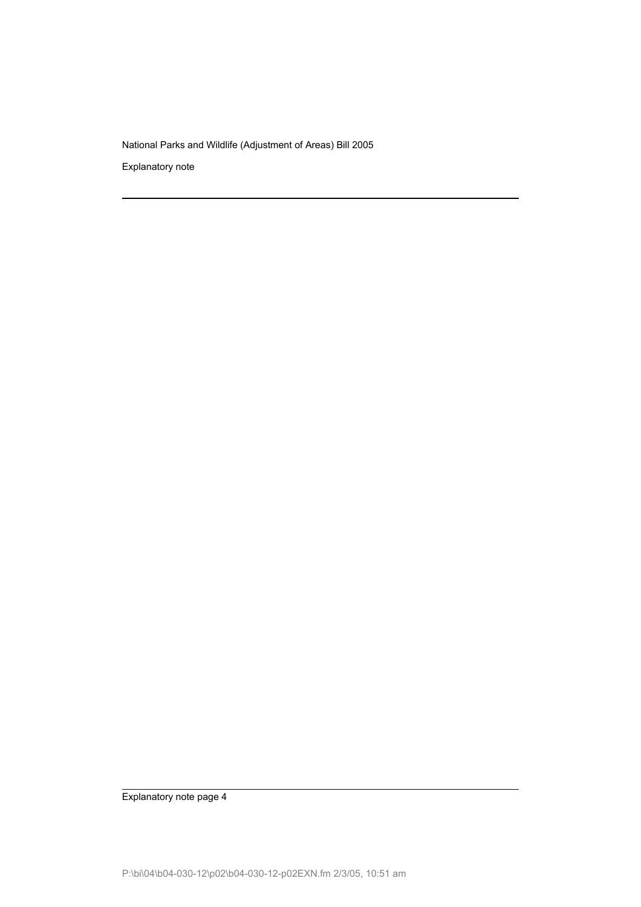Explanatory note

Explanatory note page 4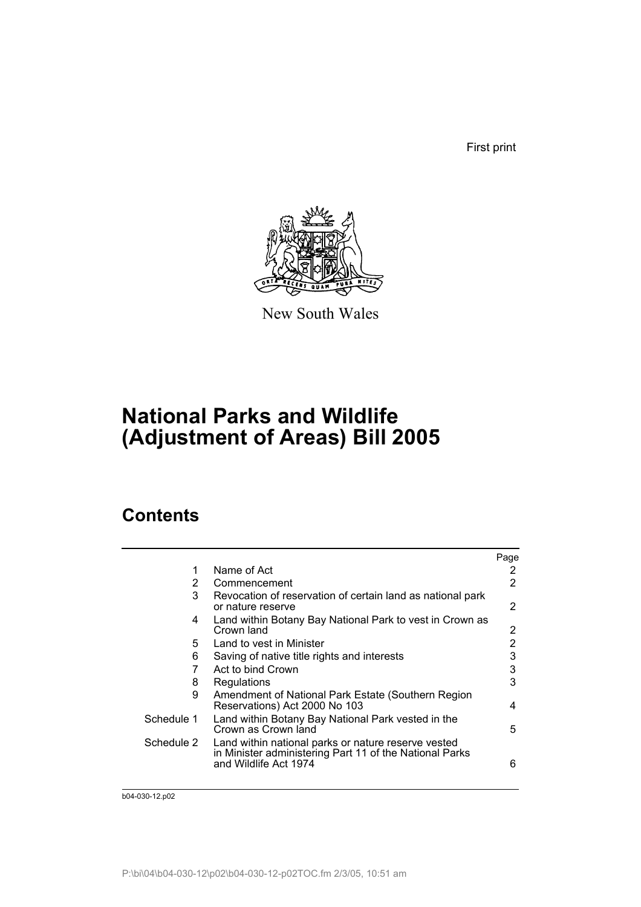First print



New South Wales

# **National Parks and Wildlife (Adjustment of Areas) Bill 2005**

# **Contents**

|            |                                                                                                                                         | Page |
|------------|-----------------------------------------------------------------------------------------------------------------------------------------|------|
| 1          | Name of Act                                                                                                                             | 2    |
| 2          | Commencement                                                                                                                            | 2    |
| 3          | Revocation of reservation of certain land as national park<br>or nature reserve                                                         | 2    |
| 4          | Land within Botany Bay National Park to vest in Crown as<br>Crown land                                                                  | 2    |
| 5.         | Land to vest in Minister                                                                                                                | 2    |
| 6          | Saving of native title rights and interests                                                                                             | 3    |
| 7          | Act to bind Crown                                                                                                                       | 3    |
| 8          | Regulations                                                                                                                             | 3    |
| 9          | Amendment of National Park Estate (Southern Region<br>Reservations) Act 2000 No 103                                                     | 4    |
| Schedule 1 | Land within Botany Bay National Park vested in the<br>Crown as Crown land                                                               | 5    |
| Schedule 2 | Land within national parks or nature reserve vested<br>in Minister administering Part 11 of the National Parks<br>and Wildlife Act 1974 | 6    |
|            |                                                                                                                                         |      |
|            |                                                                                                                                         |      |

b04-030-12.p02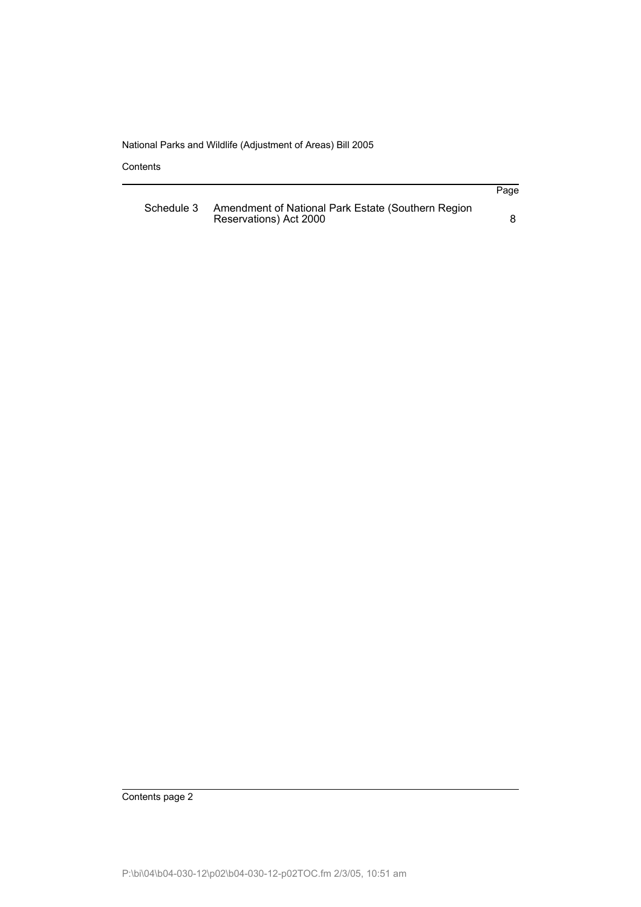**Contents** 

| Schedule 3 | Amendment of National Park Estate (Southern Region |  |
|------------|----------------------------------------------------|--|
|            | Reservations) Act 2000                             |  |

Page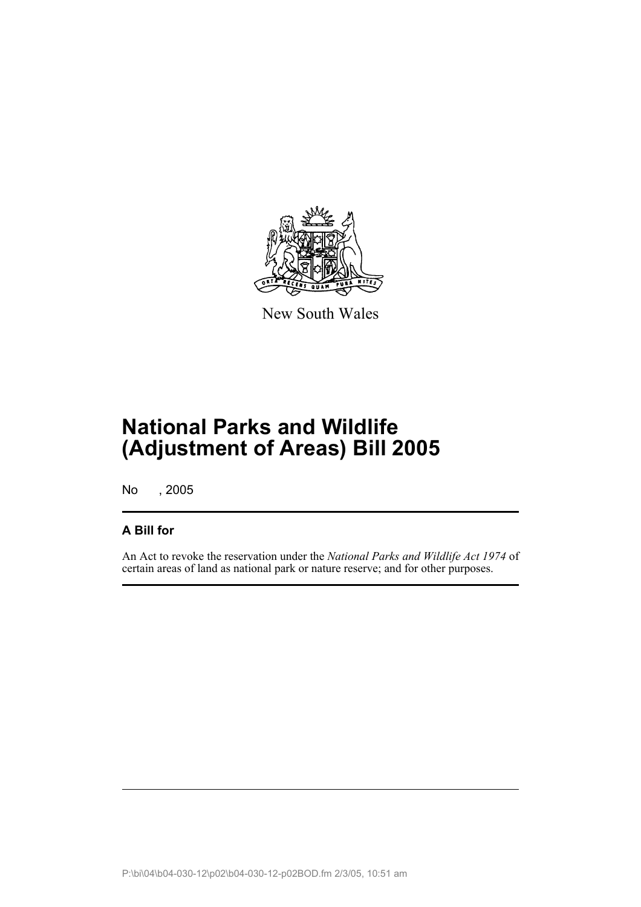

New South Wales

# **National Parks and Wildlife (Adjustment of Areas) Bill 2005**

No , 2005

### **A Bill for**

An Act to revoke the reservation under the *National Parks and Wildlife Act 1974* of certain areas of land as national park or nature reserve; and for other purposes.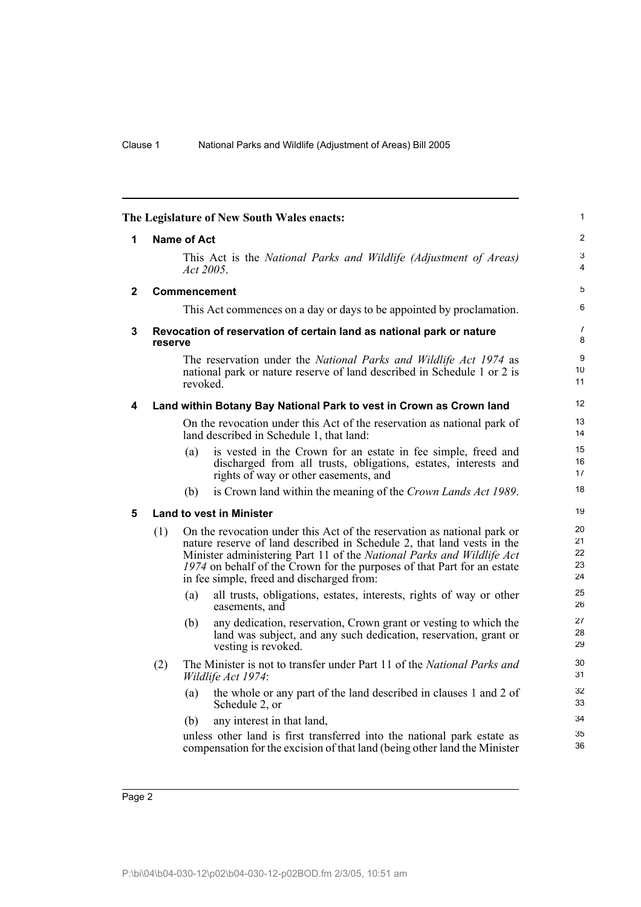|   |                                                                                                                     |                     | The Legislature of New South Wales enacts:                                                                                                                                                                                                                                                                                                         | $\mathbf{1}$               |
|---|---------------------------------------------------------------------------------------------------------------------|---------------------|----------------------------------------------------------------------------------------------------------------------------------------------------------------------------------------------------------------------------------------------------------------------------------------------------------------------------------------------------|----------------------------|
| 1 |                                                                                                                     | <b>Name of Act</b>  |                                                                                                                                                                                                                                                                                                                                                    | $\overline{2}$             |
|   |                                                                                                                     | <i>Act 2005.</i>    | This Act is the National Parks and Wildlife (Adjustment of Areas)                                                                                                                                                                                                                                                                                  | 3<br>$\overline{4}$        |
| 2 |                                                                                                                     | <b>Commencement</b> |                                                                                                                                                                                                                                                                                                                                                    | 5                          |
|   |                                                                                                                     |                     | This Act commences on a day or days to be appointed by proclamation.                                                                                                                                                                                                                                                                               | 6                          |
| 3 | reserve                                                                                                             |                     | Revocation of reservation of certain land as national park or nature                                                                                                                                                                                                                                                                               | $\overline{7}$<br>8        |
|   |                                                                                                                     | revoked.            | The reservation under the National Parks and Wildlife Act 1974 as<br>national park or nature reserve of land described in Schedule 1 or 2 is                                                                                                                                                                                                       | 9<br>10<br>11              |
| 4 |                                                                                                                     |                     | Land within Botany Bay National Park to vest in Crown as Crown land                                                                                                                                                                                                                                                                                | 12                         |
|   | On the revocation under this Act of the reservation as national park of<br>land described in Schedule 1, that land: |                     |                                                                                                                                                                                                                                                                                                                                                    |                            |
|   |                                                                                                                     | (a)                 | is vested in the Crown for an estate in fee simple, freed and<br>discharged from all trusts, obligations, estates, interests and<br>rights of way or other easements, and                                                                                                                                                                          | 15<br>16<br>17             |
|   |                                                                                                                     | (b)                 | is Crown land within the meaning of the Crown Lands Act 1989.                                                                                                                                                                                                                                                                                      | 18                         |
| 5 |                                                                                                                     |                     | Land to vest in Minister                                                                                                                                                                                                                                                                                                                           | 19                         |
|   | (1)                                                                                                                 |                     | On the revocation under this Act of the reservation as national park or<br>nature reserve of land described in Schedule 2, that land vests in the<br>Minister administering Part 11 of the National Parks and Wildlife Act<br>1974 on behalf of the Crown for the purposes of that Part for an estate<br>in fee simple, freed and discharged from: | 20<br>21<br>22<br>23<br>24 |
|   |                                                                                                                     | (a)                 | all trusts, obligations, estates, interests, rights of way or other<br>easements, and                                                                                                                                                                                                                                                              | 25<br>26                   |
|   |                                                                                                                     | (b)                 | any dedication, reservation, Crown grant or vesting to which the<br>land was subject, and any such dedication, reservation, grant or<br>vesting is revoked.                                                                                                                                                                                        | 27<br>28<br>29             |
|   | (2)                                                                                                                 |                     | The Minister is not to transfer under Part 11 of the National Parks and<br>Wildlife Act 1974:                                                                                                                                                                                                                                                      | 30<br>31                   |
|   |                                                                                                                     | (a)                 | the whole or any part of the land described in clauses 1 and 2 of<br>Schedule 2, or                                                                                                                                                                                                                                                                | 32<br>33                   |
|   |                                                                                                                     | (b)                 | any interest in that land,                                                                                                                                                                                                                                                                                                                         | 34                         |
|   |                                                                                                                     |                     | unless other land is first transferred into the national park estate as<br>compensation for the excision of that land (being other land the Minister                                                                                                                                                                                               | 35<br>36                   |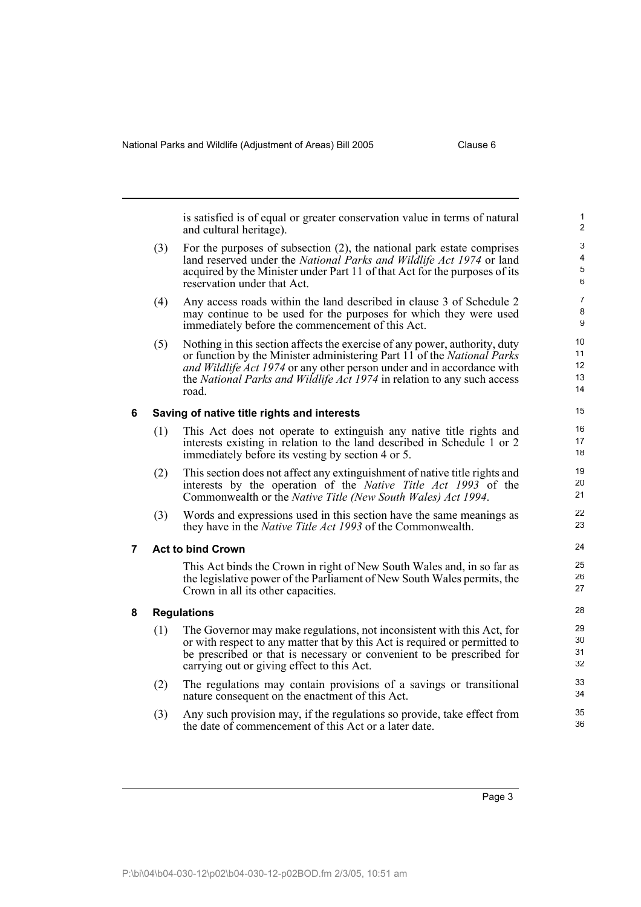National Parks and Wildlife (Adjustment of Areas) Bill 2005 Clause 6

is satisfied is of equal or greater conservation value in terms of natural and cultural heritage). (3) For the purposes of subsection (2), the national park estate comprises land reserved under the *National Parks and Wildlife Act 1974* or land acquired by the Minister under Part 11 of that Act for the purposes of its reservation under that Act. (4) Any access roads within the land described in clause 3 of Schedule 2 may continue to be used for the purposes for which they were used immediately before the commencement of this Act. (5) Nothing in this section affects the exercise of any power, authority, duty or function by the Minister administering Part 11 of the *National Parks and Wildlife Act 1974* or any other person under and in accordance with the *National Parks and Wildlife Act 1974* in relation to any such access road. **6 Saving of native title rights and interests** (1) This Act does not operate to extinguish any native title rights and interests existing in relation to the land described in Schedule 1 or 2 immediately before its vesting by section 4 or 5. (2) This section does not affect any extinguishment of native title rights and interests by the operation of the *Native Title Act 1993* of the Commonwealth or the *Native Title (New South Wales) Act 1994*. (3) Words and expressions used in this section have the same meanings as they have in the *Native Title Act 1993* of the Commonwealth. **7 Act to bind Crown** This Act binds the Crown in right of New South Wales and, in so far as the legislative power of the Parliament of New South Wales permits, the Crown in all its other capacities. **8 Regulations** (1) The Governor may make regulations, not inconsistent with this Act, for or with respect to any matter that by this Act is required or permitted to be prescribed or that is necessary or convenient to be prescribed for carrying out or giving effect to this Act. (2) The regulations may contain provisions of a savings or transitional nature consequent on the enactment of this Act. (3) Any such provision may, if the regulations so provide, take effect from the date of commencement of this Act or a later date. 1 2 3 4 5 6 7 8 9 10 11 12 13 14 15 16 17 18 19 20 21 22 23 24 25 26 27 28 29 30 31 32 33 34 35 36

Page 3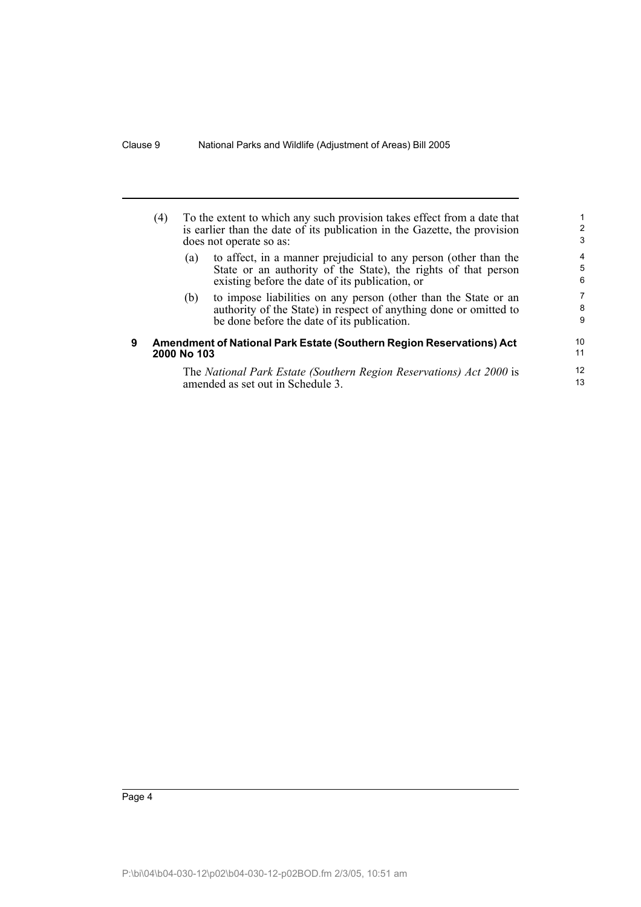|   | (4)                                                                                 |     | To the extent to which any such provision takes effect from a date that<br>is earlier than the date of its publication in the Gazette, the provision<br>does not operate so as:       | 1<br>2<br>3 |
|---|-------------------------------------------------------------------------------------|-----|---------------------------------------------------------------------------------------------------------------------------------------------------------------------------------------|-------------|
|   |                                                                                     | (a) | to affect, in a manner prejudicial to any person (other than the<br>State or an authority of the State), the rights of that person<br>existing before the date of its publication, or | 4<br>5<br>6 |
|   |                                                                                     | (b) | to impose liabilities on any person (other than the State or an<br>authority of the State) in respect of anything done or omitted to<br>be done before the date of its publication.   | 7<br>8<br>9 |
| 9 | Amendment of National Park Estate (Southern Region Reservations) Act<br>2000 No 103 |     | 10<br>11                                                                                                                                                                              |             |
|   |                                                                                     |     | The National Park Estate (Southern Region Reservations) Act 2000 is<br>amended as set out in Schedule 3.                                                                              | 12<br>13    |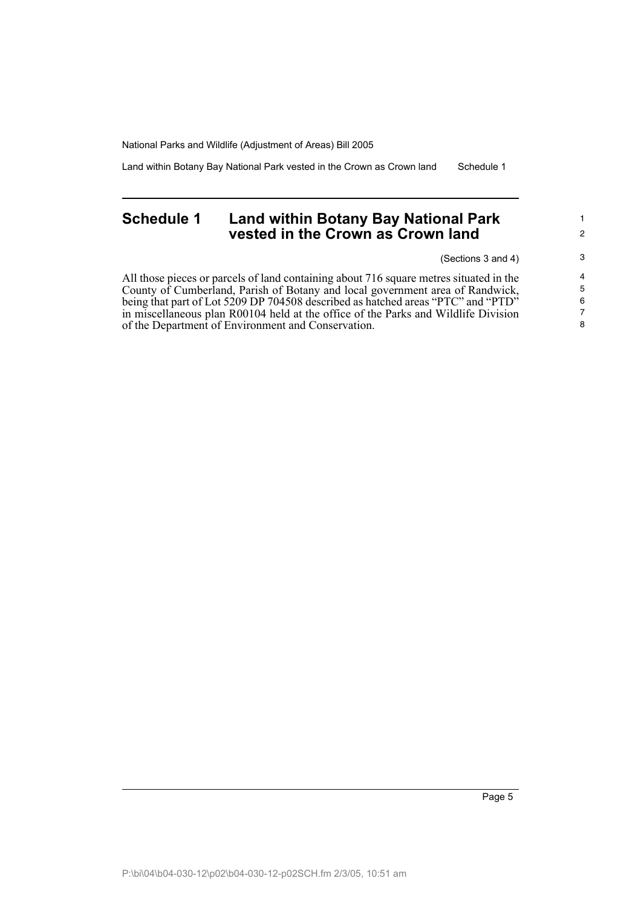Land within Botany Bay National Park vested in the Crown as Crown land Schedule 1

### **Schedule 1 Land within Botany Bay National Park vested in the Crown as Crown land**

(Sections 3 and 4)

1  $\overline{2}$ 

All those pieces or parcels of land containing about 716 square metres situated in the County of Cumberland, Parish of Botany and local government area of Randwick, being that part of Lot 5209 DP 704508 described as hatched areas "PTC" and "PTD" in miscellaneous plan R00104 held at the office of the Parks and Wildlife Division of the Department of Environment and Conservation.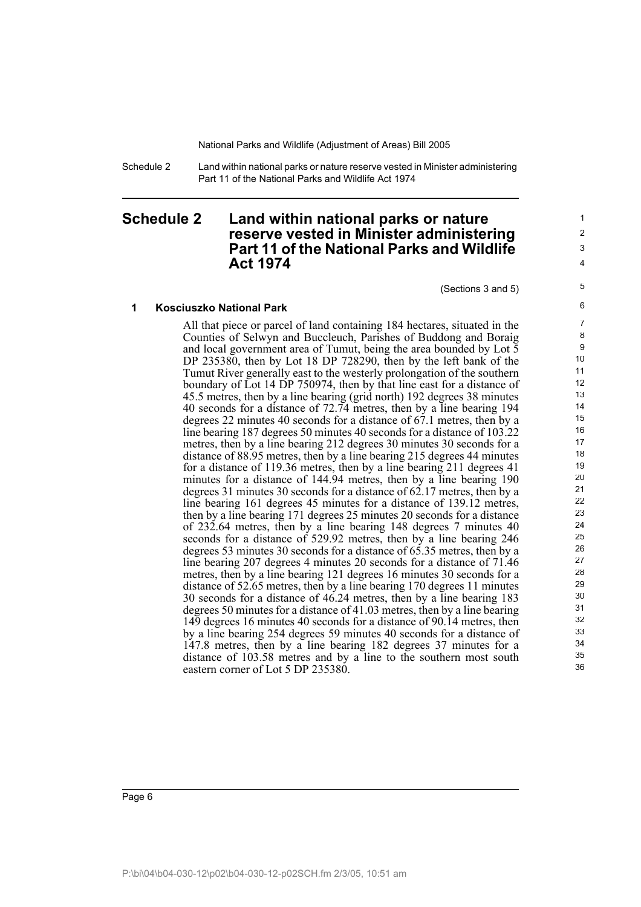Schedule 2 Land within national parks or nature reserve vested in Minister administering Part 11 of the National Parks and Wildlife Act 1974

### **Schedule 2 Land within national parks or nature reserve vested in Minister administering Part 11 of the National Parks and Wildlife Act 1974**

(Sections 3 and 5)

#### **1 Kosciuszko National Park**

All that piece or parcel of land containing 184 hectares, situated in the Counties of Selwyn and Buccleuch, Parishes of Buddong and Boraig and local government area of Tumut, being the area bounded by Lot 5 DP 235380, then by Lot 18 DP 728290, then by the left bank of the Tumut River generally east to the westerly prolongation of the southern boundary of Lot 14 DP 750974, then by that line east for a distance of 45.5 metres, then by a line bearing (grid north) 192 degrees 38 minutes 40 seconds for a distance of 72.74 metres, then by a line bearing 194 degrees 22 minutes 40 seconds for a distance of 67.1 metres, then by a line bearing 187 degrees 50 minutes 40 seconds for a distance of 103.22 metres, then by a line bearing 212 degrees 30 minutes 30 seconds for a distance of 88.95 metres, then by a line bearing 215 degrees 44 minutes for a distance of 119.36 metres, then by a line bearing 211 degrees 41 minutes for a distance of 144.94 metres, then by a line bearing 190 degrees 31 minutes 30 seconds for a distance of 62.17 metres, then by a line bearing 161 degrees 45 minutes for a distance of 139.12 metres, then by a line bearing 171 degrees 25 minutes 20 seconds for a distance of 232.64 metres, then by a line bearing 148 degrees 7 minutes 40 seconds for a distance of 529.92 metres, then by a line bearing 246 degrees 53 minutes 30 seconds for a distance of 65.35 metres, then by a line bearing 207 degrees 4 minutes 20 seconds for a distance of 71.46 metres, then by a line bearing 121 degrees 16 minutes 30 seconds for a distance of 52.65 metres, then by a line bearing 170 degrees 11 minutes 30 seconds for a distance of 46.24 metres, then by a line bearing 183 degrees 50 minutes for a distance of 41.03 metres, then by a line bearing 149 degrees 16 minutes 40 seconds for a distance of 90.14 metres, then by a line bearing 254 degrees 59 minutes 40 seconds for a distance of 147.8 metres, then by a line bearing 182 degrees 37 minutes for a distance of 103.58 metres and by a line to the southern most south eastern corner of Lot 5 DP 235380.

Page 6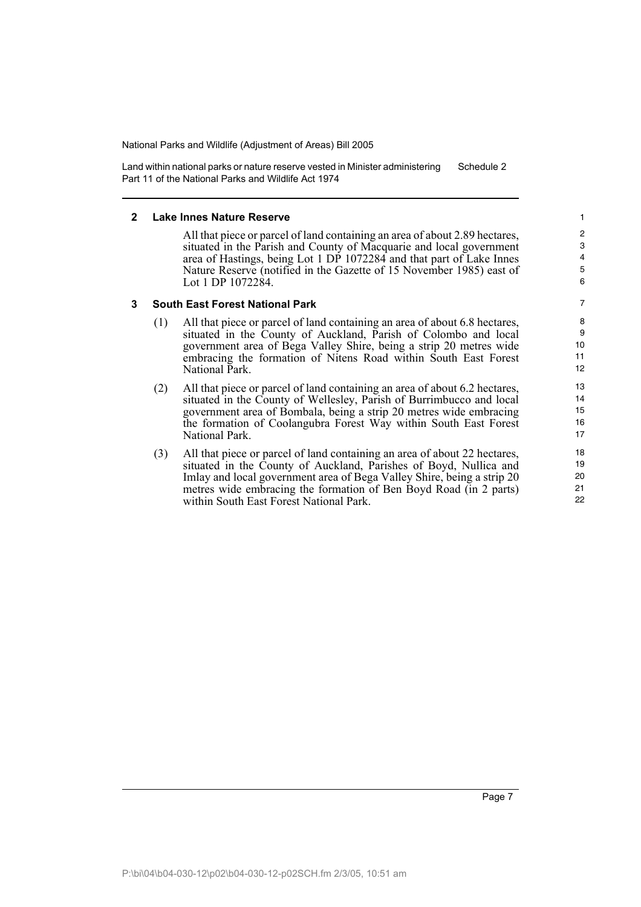Land within national parks or nature reserve vested in Minister administering Part 11 of the National Parks and Wildlife Act 1974 Schedule 2

#### **2 Lake Innes Nature Reserve**

All that piece or parcel of land containing an area of about 2.89 hectares, situated in the Parish and County of Macquarie and local government area of Hastings, being Lot 1 DP 1072284 and that part of Lake Innes Nature Reserve (notified in the Gazette of 15 November 1985) east of Lot 1 DP 1072284.

#### **3 South East Forest National Park**

- (1) All that piece or parcel of land containing an area of about 6.8 hectares, situated in the County of Auckland, Parish of Colombo and local government area of Bega Valley Shire, being a strip 20 metres wide embracing the formation of Nitens Road within South East Forest National Park.
- (2) All that piece or parcel of land containing an area of about 6.2 hectares, situated in the County of Wellesley, Parish of Burrimbucco and local government area of Bombala, being a strip 20 metres wide embracing the formation of Coolangubra Forest Way within South East Forest National Park.
- (3) All that piece or parcel of land containing an area of about 22 hectares, situated in the County of Auckland, Parishes of Boyd, Nullica and Imlay and local government area of Bega Valley Shire, being a strip 20 metres wide embracing the formation of Ben Boyd Road (in 2 parts) within South East Forest National Park.